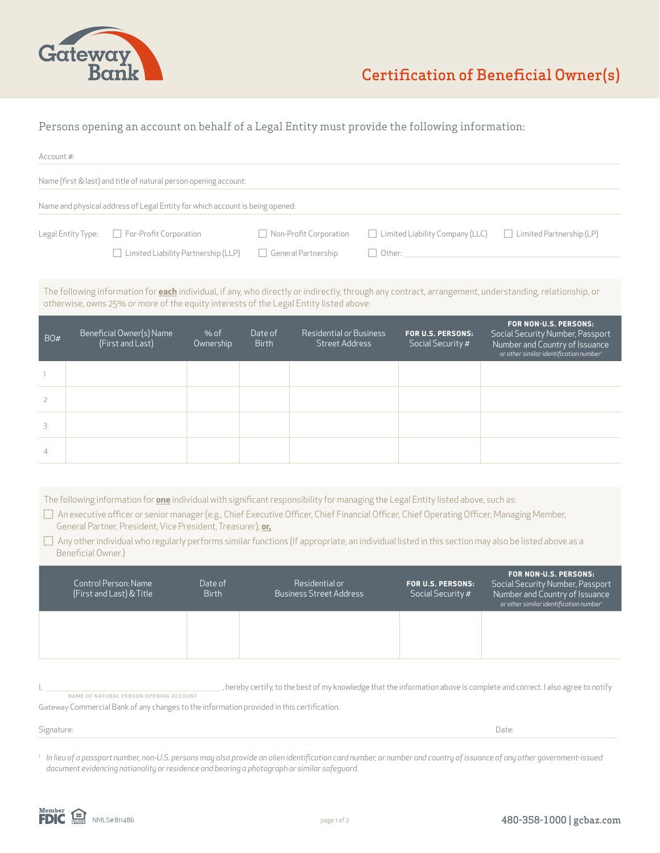

# Persons opening an account on behalf of a Legal Entity must provide the following information:

| Account #:                                                                                                                                                                                                                                                                                                                                                                                                                                                                                                                               |                                                  |                                            |                         |                            |                                                  |               |                                                                           |                                                                                                                                                    |  |
|------------------------------------------------------------------------------------------------------------------------------------------------------------------------------------------------------------------------------------------------------------------------------------------------------------------------------------------------------------------------------------------------------------------------------------------------------------------------------------------------------------------------------------------|--------------------------------------------------|--------------------------------------------|-------------------------|----------------------------|--------------------------------------------------|---------------|---------------------------------------------------------------------------|----------------------------------------------------------------------------------------------------------------------------------------------------|--|
| Name (first & last) and title of natural person opening account:                                                                                                                                                                                                                                                                                                                                                                                                                                                                         |                                                  |                                            |                         |                            |                                                  |               |                                                                           |                                                                                                                                                    |  |
| Name and physical address of Legal Entity for which account is being opened:                                                                                                                                                                                                                                                                                                                                                                                                                                                             |                                                  |                                            |                         |                            |                                                  |               |                                                                           |                                                                                                                                                    |  |
|                                                                                                                                                                                                                                                                                                                                                                                                                                                                                                                                          | Legal Entity Type:                               | For-Profit Corporation                     |                         |                            | Non-Profit Corporation                           |               | $\Box$ Limited Liability Company (LLC)<br>$\Box$ Limited Partnership (LP) |                                                                                                                                                    |  |
|                                                                                                                                                                                                                                                                                                                                                                                                                                                                                                                                          |                                                  | $\Box$ Limited Liability Partnership (LLP) |                         | $\Box$ General Partnership |                                                  | $\Box$ Other: |                                                                           |                                                                                                                                                    |  |
| The following information for <b>each</b> individual, if any, who directly or indirectly, through any contract, arrangement, understanding, relationship, or<br>otherwise, owns 25% or more of the equity interests of the Legal Entity listed above:                                                                                                                                                                                                                                                                                    |                                                  |                                            |                         |                            |                                                  |               |                                                                           |                                                                                                                                                    |  |
| BO#                                                                                                                                                                                                                                                                                                                                                                                                                                                                                                                                      | Beneficial Owner(s) Name<br>(First and Last)     |                                            | % of<br>Ownership       | Date of<br><b>Birth</b>    | <b>Residential or Business</b><br>Street Address |               | <b>FOR U.S. PERSONS:</b><br>Social Security #                             | FOR NON-U.S. PERSONS:<br>Social Security Number, Passport<br>Number and Country of Issuance<br>or other similar identification number <sup>1</sup> |  |
| 1                                                                                                                                                                                                                                                                                                                                                                                                                                                                                                                                        |                                                  |                                            |                         |                            |                                                  |               |                                                                           |                                                                                                                                                    |  |
| $\overline{2}$                                                                                                                                                                                                                                                                                                                                                                                                                                                                                                                           |                                                  |                                            |                         |                            |                                                  |               |                                                                           |                                                                                                                                                    |  |
| 3                                                                                                                                                                                                                                                                                                                                                                                                                                                                                                                                        |                                                  |                                            |                         |                            |                                                  |               |                                                                           |                                                                                                                                                    |  |
| $\overline{4}$                                                                                                                                                                                                                                                                                                                                                                                                                                                                                                                           |                                                  |                                            |                         |                            |                                                  |               |                                                                           |                                                                                                                                                    |  |
|                                                                                                                                                                                                                                                                                                                                                                                                                                                                                                                                          |                                                  |                                            |                         |                            |                                                  |               |                                                                           |                                                                                                                                                    |  |
| The following information for <b>one</b> individual with significant responsibility for managing the Legal Entity listed above, such as:<br>□ An executive officer or senior manager (e.g., Chief Executive Officer, Chief Financial Officer, Chief Operating Officer, Managing Member,<br>General Partner, President, Vice President, Treasurer); or,<br>$\Box$ Any other individual who regularly performs similar functions (If appropriate, an individual listed in this section may also be listed above as a<br>Beneficial Owner.) |                                                  |                                            |                         |                            |                                                  |               |                                                                           |                                                                                                                                                    |  |
|                                                                                                                                                                                                                                                                                                                                                                                                                                                                                                                                          | Control Person: Name<br>(First and Last) & Title |                                            | Date of<br><b>Birth</b> |                            | Residential or<br><b>Business Street Address</b> |               | <b>FOR U.S. PERSONS:</b><br>Social Security #                             | FOR NON-U.S. PERSONS:<br>Social Security Number, Passport<br>Number and Country of Issuance<br>or other similar identification number <sup>1</sup> |  |
|                                                                                                                                                                                                                                                                                                                                                                                                                                                                                                                                          |                                                  |                                            |                         |                            |                                                  |               |                                                                           |                                                                                                                                                    |  |
| , hereby certify, to the best of my knowledge that the information above is complete and correct. I also agree to notify<br>NAME OF NATURAL PERSON OPENING ACCOUNT<br>Gateway Commercial Bank of any changes to the information provided in this certification.                                                                                                                                                                                                                                                                          |                                                  |                                            |                         |                            |                                                  |               |                                                                           |                                                                                                                                                    |  |
| Signature:                                                                                                                                                                                                                                                                                                                                                                                                                                                                                                                               |                                                  |                                            |                         |                            |                                                  |               | Date:                                                                     |                                                                                                                                                    |  |

<sup>1</sup> In lieu of a passport number, non-U.S. persons may also provide an alien identification card number, or number and country of issuance of any other government-issued *document evidencing nationality or residence and bearing a photograph or similar safeguard.*